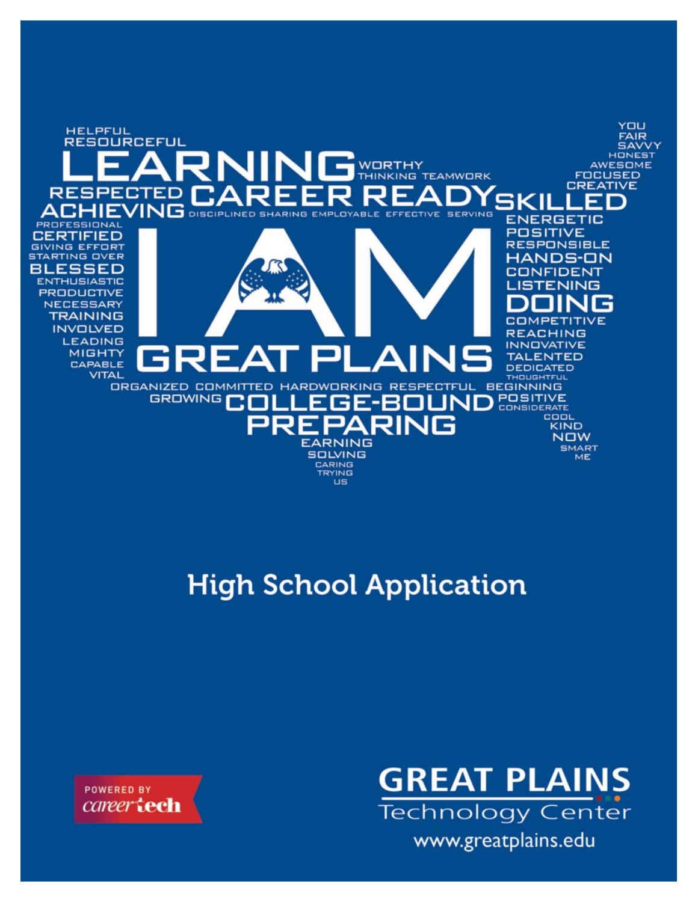

# **High School Application**

**POWERED BY** career **tech** 

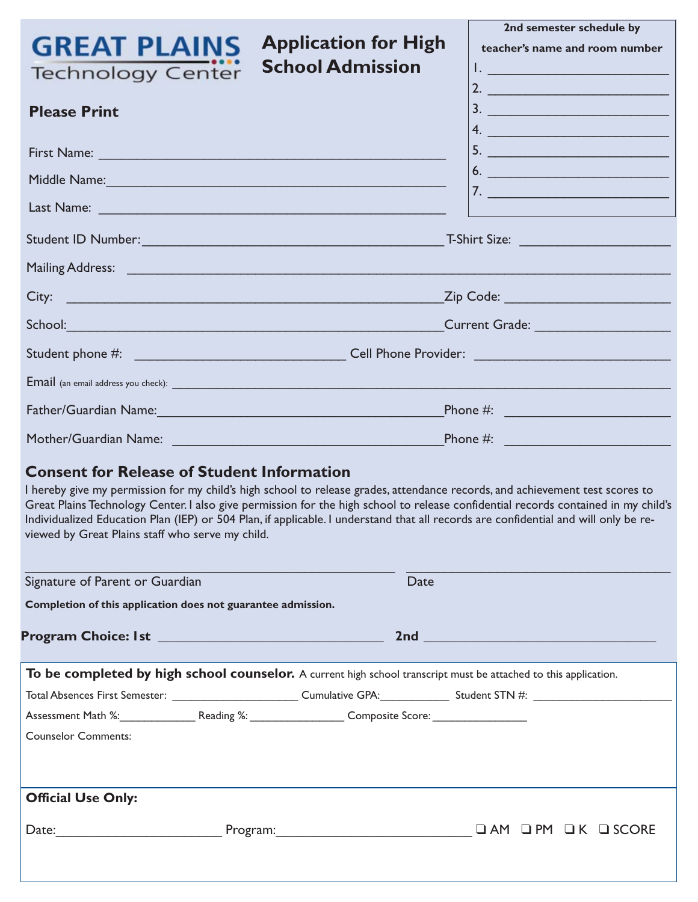| <b>Application for High</b><br><b>GREAT PLAINS</b><br><b>School Admission</b><br><b>Technology Center</b>                                                                                                                                                                                                                                                                                                                                                                                                          | 2nd semester schedule by<br>teacher's name and room number<br><u>Listen van die Bergerikse van die Staats</u><br>2. $\qquad \qquad$ |  |  |  |
|--------------------------------------------------------------------------------------------------------------------------------------------------------------------------------------------------------------------------------------------------------------------------------------------------------------------------------------------------------------------------------------------------------------------------------------------------------------------------------------------------------------------|-------------------------------------------------------------------------------------------------------------------------------------|--|--|--|
| <b>Please Print</b>                                                                                                                                                                                                                                                                                                                                                                                                                                                                                                | 3.                                                                                                                                  |  |  |  |
|                                                                                                                                                                                                                                                                                                                                                                                                                                                                                                                    | 4.                                                                                                                                  |  |  |  |
| Middle Name: Name and All Annual Annual Annual Annual Annual Annual Annual Annual Annual Annual Annual Annual                                                                                                                                                                                                                                                                                                                                                                                                      | 6.                                                                                                                                  |  |  |  |
|                                                                                                                                                                                                                                                                                                                                                                                                                                                                                                                    | <u>7. _________________________</u>                                                                                                 |  |  |  |
|                                                                                                                                                                                                                                                                                                                                                                                                                                                                                                                    |                                                                                                                                     |  |  |  |
| Mailing Address: The Commission of the Commission of the Commission of the Commission of the Commission of the                                                                                                                                                                                                                                                                                                                                                                                                     |                                                                                                                                     |  |  |  |
| City:                                                                                                                                                                                                                                                                                                                                                                                                                                                                                                              | Zip Code: ________________________________                                                                                          |  |  |  |
|                                                                                                                                                                                                                                                                                                                                                                                                                                                                                                                    |                                                                                                                                     |  |  |  |
|                                                                                                                                                                                                                                                                                                                                                                                                                                                                                                                    |                                                                                                                                     |  |  |  |
| Email (an email address you check): experience and a series of the series of the series of the series of the series of the series of the series of the series of the series of the series of the series of the series of the s                                                                                                                                                                                                                                                                                     |                                                                                                                                     |  |  |  |
|                                                                                                                                                                                                                                                                                                                                                                                                                                                                                                                    |                                                                                                                                     |  |  |  |
|                                                                                                                                                                                                                                                                                                                                                                                                                                                                                                                    |                                                                                                                                     |  |  |  |
| <b>Consent for Release of Student Information</b><br>I hereby give my permission for my child's high school to release grades, attendance records, and achievement test scores to<br>Great Plains Technology Center. I also give permission for the high school to release confidential records contained in my child's<br>Individualized Education Plan (IEP) or 504 Plan, if applicable. I understand that all records are confidential and will only be re-<br>viewed by Great Plains staff who serve my child. |                                                                                                                                     |  |  |  |
| Signature of Parent or Guardian<br>Date                                                                                                                                                                                                                                                                                                                                                                                                                                                                            |                                                                                                                                     |  |  |  |
| Completion of this application does not guarantee admission.                                                                                                                                                                                                                                                                                                                                                                                                                                                       |                                                                                                                                     |  |  |  |
|                                                                                                                                                                                                                                                                                                                                                                                                                                                                                                                    |                                                                                                                                     |  |  |  |
| To be completed by high school counselor. A current high school transcript must be attached to this application.                                                                                                                                                                                                                                                                                                                                                                                                   |                                                                                                                                     |  |  |  |
|                                                                                                                                                                                                                                                                                                                                                                                                                                                                                                                    |                                                                                                                                     |  |  |  |
| Assessment Math %: Reading %: Composite Score: COMBINET MATCH                                                                                                                                                                                                                                                                                                                                                                                                                                                      |                                                                                                                                     |  |  |  |
| <b>Counselor Comments:</b>                                                                                                                                                                                                                                                                                                                                                                                                                                                                                         |                                                                                                                                     |  |  |  |
|                                                                                                                                                                                                                                                                                                                                                                                                                                                                                                                    |                                                                                                                                     |  |  |  |
| <b>Official Use Only:</b>                                                                                                                                                                                                                                                                                                                                                                                                                                                                                          |                                                                                                                                     |  |  |  |
|                                                                                                                                                                                                                                                                                                                                                                                                                                                                                                                    |                                                                                                                                     |  |  |  |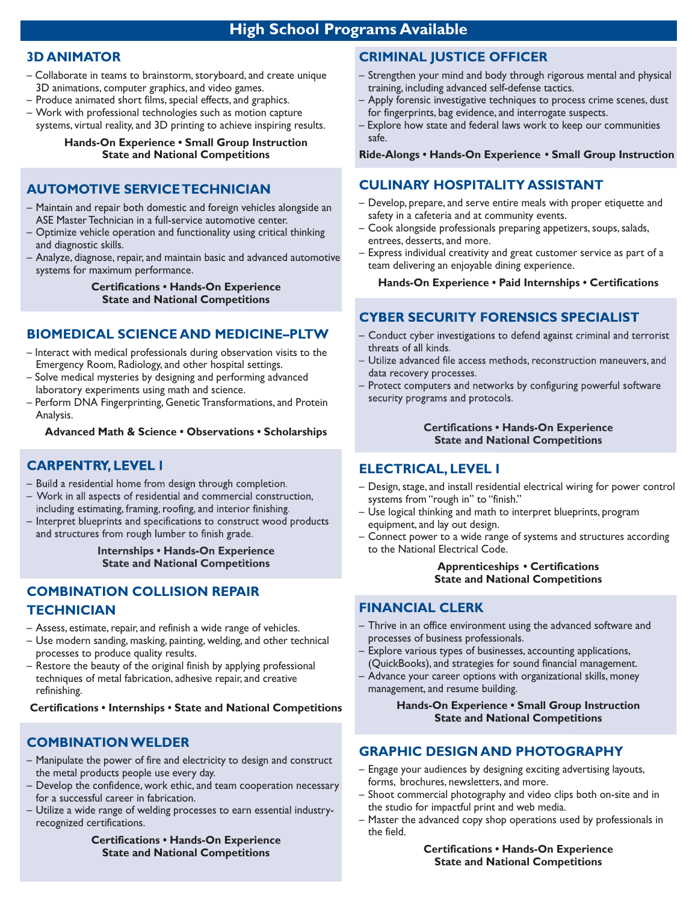## **3D ANIMATOR**

- Collaborate in teams to brainstorm, storyboard, and create unique 3D animations, computer graphics, and video games.
- Produce animated short films, special effects, and graphics.
- Work with professional technologies such as motion capture systems, virtual reality, and 3D printing to achieve inspiring results.

#### **Hands-On Experience • Small Group Instruction State and National Competitions**

## **AUTOMOTIVE SERVICE TECHNICIAN**

- Maintain and repair both domestic and foreign vehicles alongside an ASE Master Technician in a full-service automotive center.
- Optimize vehicle operation and functionality using critical thinking and diagnostic skills.
- Analyze, diagnose, repair, and maintain basic and advanced automotive systems for maximum performance.

**Certifications • Hands-On Experience State and National Competitions**

#### **BIOMEDICAL SCIENCE AND MEDICINE–PLTW**

- Interact with medical professionals during observation visits to the Emergency Room, Radiology, and other hospital settings.
- Solve medical mysteries by designing and performing advanced laboratory experiments using math and science.
- Perform DNA Fingerprinting, Genetic Transformations, and Protein Analysis.

**Advanced Math & Science • Observations • Scholarships**

## **CARPENTRY, LEVEL I**

- Build a residential home from design through completion.
- Work in all aspects of residential and commercial construction, including estimating, framing, roofing, and interior finishing.
- Interpret blueprints and specifications to construct wood products and structures from rough lumber to finish grade.

**Internships • Hands-On Experience State and National Competitions**

# **COMBINATION COLLISION REPAIR TECHNICIAN**

- Assess, estimate, repair, and refinish a wide range of vehicles.
- Use modern sanding, masking, painting, welding, and other technical processes to produce quality results.
- Restore the beauty of the original finish by applying professional techniques of metal fabrication, adhesive repair, and creative refinishing.

**Certifications • Internships • State and National Competitions**

## **COMBINATION WELDER**

- Manipulate the power of fire and electricity to design and construct the metal products people use every day.
- Develop the confidence, work ethic, and team cooperation necessary for a successful career in fabrication.
- Utilize a wide range of welding processes to earn essential industryrecognized certifications.

**Certifications • Hands-On Experience State and National Competitions**

# **CRIMINAL JUSTICE OFFICER**

- Strengthen your mind and body through rigorous mental and physical training, including advanced self-defense tactics.
- Apply forensic investigative techniques to process crime scenes, dust for fingerprints, bag evidence, and interrogate suspects.
- Explore how state and federal laws work to keep our communities safe.

**Ride-Alongs • Hands-On Experience • Small Group Instruction**

### **CULINARY HOSPITALITY ASSISTANT**

- Develop, prepare, and serve entire meals with proper etiquette and safety in a cafeteria and at community events.
- Cook alongside professionals preparing appetizers, soups, salads, entrees, desserts, and more.
- Express individual creativity and great customer service as part of a team delivering an enjoyable dining experience.

**Hands-On Experience • Paid Internships • Certifications**

# **CYBER SECURITY FORENSICS SPECIALIST**

- Conduct cyber investigations to defend against criminal and terrorist threats of all kinds.
- Utilize advanced file access methods, reconstruction maneuvers, and data recovery processes.
- Protect computers and networks by configuring powerful software security programs and protocols.

#### **Certifications • Hands-On Experience State and National Competitions**

#### **ELECTRICAL, LEVEL I**

- Design, stage, and install residential electrical wiring for power control systems from "rough in" to "finish."
- Use logical thinking and math to interpret blueprints, program equipment, and lay out design.
- Connect power to a wide range of systems and structures according to the National Electrical Code.

#### **Apprenticeships • Certifications State and National Competitions**

#### **FINANCIAL CLERK**

- Thrive in an office environment using the advanced software and processes of business professionals.
- Explore various types of businesses, accounting applications, (QuickBooks), and strategies for sound financial management.
- Advance your career options with organizational skills, money management, and resume building.

#### **Hands-On Experience • Small Group Instruction State and National Competitions**

#### **GRAPHIC DESIGN AND PHOTOGRAPHY**

- Engage your audiences by designing exciting advertising layouts, forms, brochures, newsletters, and more.
- Shoot commercial photography and video clips both on-site and in the studio for impactful print and web media.
- Master the advanced copy shop operations used by professionals in the field.

**Certifications • Hands-On Experience State and National Competitions**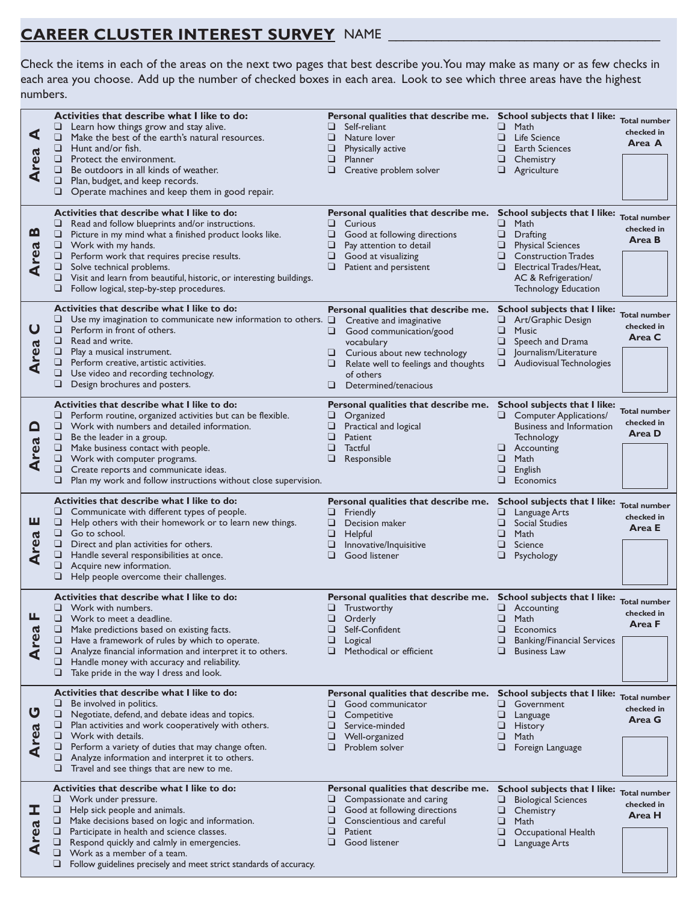# **CAREER CLUSTER INTEREST SURVEY** NAME \_\_\_\_\_\_\_\_\_\_\_\_\_\_\_\_\_\_\_\_\_\_\_\_\_\_\_\_\_\_\_\_\_\_\_\_

Check the items in each of the areas on the next two pages that best describe you. You may make as many or as few checks in each area you choose. Add up the number of checked boxes in each area. Look to see which three areas have the highest numbers.

| ⋖<br><b>Area</b>        | Activities that describe what I like to do:<br>u<br>Learn how things grow and stay alive.<br>Make the best of the earth's natural resources.<br>❏<br>Hunt and/or fish.<br>□<br>$\Box$<br>Protect the environment.<br>Be outdoors in all kinds of weather.<br>u<br>Plan, budget, and keep records.<br>❏<br>❏<br>Operate machines and keep them in good repair.                                                       | Personal qualities that describe me. School subjects that I like:<br>Self-reliant<br>⊔<br>❏<br>Nature lover<br>❏<br>Physically active<br>⊔<br><b>Planner</b><br>⊔<br>Creative problem solver                                             | Math<br>⊔<br>⊔<br>Life Science<br><b>Earth Sciences</b><br>□<br>⊔<br>Chemistry<br>❏<br>Agriculture                                                                                                                          | <b>Total number</b><br>checked in<br>Area A |
|-------------------------|---------------------------------------------------------------------------------------------------------------------------------------------------------------------------------------------------------------------------------------------------------------------------------------------------------------------------------------------------------------------------------------------------------------------|------------------------------------------------------------------------------------------------------------------------------------------------------------------------------------------------------------------------------------------|-----------------------------------------------------------------------------------------------------------------------------------------------------------------------------------------------------------------------------|---------------------------------------------|
| <u>ന</u><br><b>Area</b> | Activities that describe what I like to do:<br>⊔<br>Read and follow blueprints and/or instructions.<br>□<br>Picture in my mind what a finished product looks like.<br>$\Box$ Work with my hands.<br>□<br>Perform work that requires precise results.<br>⊔<br>Solve technical problems.<br>❏<br>Visit and learn from beautiful, historic, or interesting buildings.<br>Follow logical, step-by-step procedures.<br>⊔ | Personal qualities that describe me.<br>⊔<br>Curious<br>Good at following directions<br>⊔<br>❏<br>Pay attention to detail<br>⊔<br>Good at visualizing<br>u<br>Patient and persistent                                                     | School subjects that I like:<br>❏<br>Math<br><b>Drafting</b><br>⊔<br>⊔<br><b>Physical Sciences</b><br><b>Construction Trades</b><br>⊔<br>⊔<br>Electrical Trades/Heat,<br>AC & Refrigeration/<br><b>Technology Education</b> | <b>Total number</b><br>checked in<br>Area B |
| $\mathbf 0$<br>rea<br>⋖ | Activities that describe what I like to do:<br>❏<br>Use my imagination to communicate new information to others. $\Box$<br>□<br>Perform in front of others.<br>$\Box$ Read and write.<br>u<br>Play a musical instrument.<br>□<br>Perform creative, artistic activities.<br>❏<br>Use video and recording technology.<br>□<br>Design brochures and posters.                                                           | Personal qualities that describe me.<br>Creative and imaginative<br>Good communication/good<br>vocabulary<br>$\Box$ Curious about new technology<br>u.<br>Relate well to feelings and thoughts<br>of others<br>Determined/tenacious<br>⊔ | School subjects that I like:<br>Art/Graphic Design<br>⊔<br>❏<br><b>Music</b><br>⊔<br>Speech and Drama<br>Journalism/Literature<br>⊔<br>Audiovisual Technologies<br>□                                                        | <b>Total number</b><br>checked in<br>Area C |
| <u>០</u><br>rea<br>⋖    | Activities that describe what I like to do:<br>⊔<br>Perform routine, organized activities but can be flexible.<br>$\Box$ Work with numbers and detailed information.<br>□<br>Be the leader in a group.<br>Make business contact with people.<br>⊔<br>□<br>Work with computer programs.<br>Create reports and communicate ideas.<br>❏<br>□<br>Plan my work and follow instructions without close supervision.        | Personal qualities that describe me. School subjects that I like:<br>Organized<br>⊔<br>Practical and logical<br>❏<br>Patient<br>⊔<br>Tactful<br>❏<br>Responsible                                                                         | <b>Computer Applications/</b><br>⊔<br><b>Business and Information</b><br>Technology<br>⊔<br>Accounting<br>Math<br>⊔<br>❏<br>English<br>❏<br>Economics                                                                       | Total number<br>checked in<br>Area D        |
| ш                       | Activities that describe what I like to do:<br>❏<br>Communicate with different types of people.<br>Help others with their homework or to learn new things.<br>⊔                                                                                                                                                                                                                                                     | Personal qualities that describe me.<br>Friendly<br>⊔<br>Decision maker<br>⊔                                                                                                                                                             | School subjects that I like:<br>Language Arts<br>⊔<br>Social Studies<br>⊔                                                                                                                                                   | <b>Total number</b><br>checked in<br>Area E |
| rea<br>⋖                | $\Box$ Go to school.<br>Direct and plan activities for others.<br>❏<br>Handle several responsibilities at once.<br>□<br>Acquire new information.<br>□<br>Help people overcome their challenges.                                                                                                                                                                                                                     | ⊔<br>Helpful<br>Innovative/Inquisitive<br>⊔<br>Good listener<br>⊔                                                                                                                                                                        | ⊔<br>Math<br>⊔<br>Science<br>❏<br>Psychology                                                                                                                                                                                |                                             |
| rea<br>⋖                | Activities that describe what I like to do:<br>$\Box$ Work with numbers.<br>❏<br>Work to meet a deadline.<br>□<br>Make predictions based on existing facts.<br>❏<br>Have a framework of rules by which to operate.<br>□<br>Analyze financial information and interpret it to others.<br>⊔<br>Handle money with accuracy and reliability.<br>Take pride in the way I dress and look.<br>⊔                            | Personal qualities that describe me. School subjects that I like: Total number<br>$\Box$ Trustworthy<br>⊔<br>Orderly<br>u<br>Self-Confident<br>❏<br>Logical<br>Methodical or efficient<br>⊔                                              | $\Box$ Accounting<br>❏<br>Math<br>❏<br>Economics<br><b>Banking/Financial Services</b><br>⊔<br><b>Business Law</b>                                                                                                           | checked in<br>Area F                        |
| ပ<br>rea<br>⋖           | Activities that describe what I like to do:<br>❏<br>Be involved in politics.<br>Negotiate, defend, and debate ideas and topics.<br>⊔<br>❏<br>Plan activities and work cooperatively with others.<br>❏<br>Work with details.<br>⊔<br>Perform a variety of duties that may change often.<br>Analyze information and interpret it to others.<br>⊔<br>Travel and see things that are new to me.<br>⊔                    | Personal qualities that describe me. School subjects that I like:<br>Good communicator<br>⊔<br>⊔<br>Competitive<br>❏<br>Service-minded<br>❏<br>Well-organized<br>Problem solver                                                          | Government<br>⊔<br>⊔<br>Language<br>⊔<br><b>History</b><br>⊔<br>Math<br>⊔<br>Foreign Language                                                                                                                               | <b>Total number</b><br>checked in<br>Area G |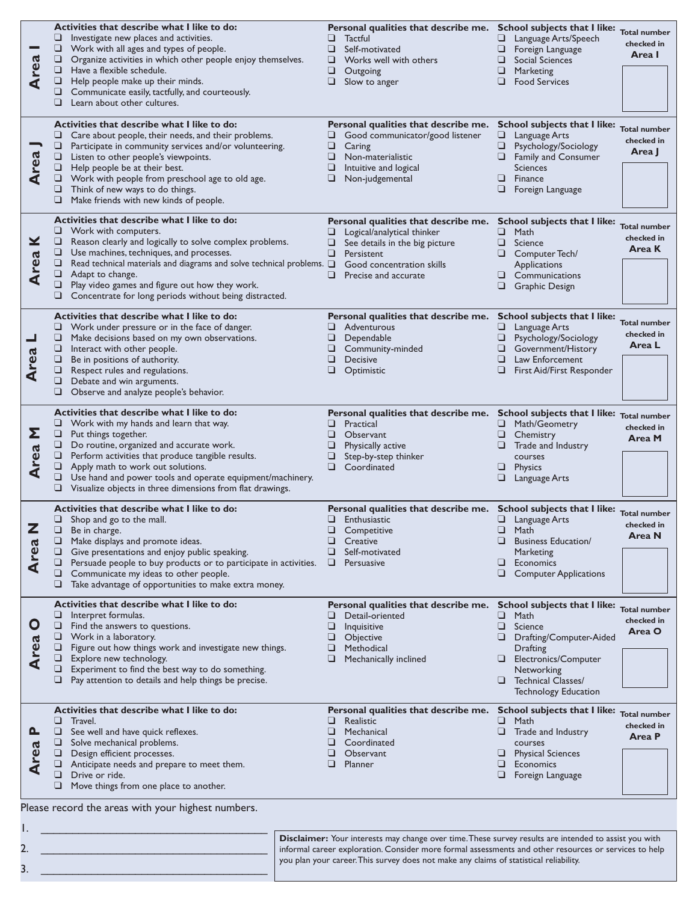| <b>Area</b>              | Activities that describe what I like to do:<br>$\Box$ Investigate new places and activities.<br>❏<br>Work with all ages and types of people.<br>$\Box$<br>Organize activities in which other people enjoy themselves.<br>Have a flexible schedule.<br>□<br>Help people make up their minds.<br>⊔<br>Communicate easily, tactfully, and courteously.<br>⊔<br>Learn about other cultures.<br>⊔                                    | Personal qualities that describe me. School subjects that I like:<br>❏<br>Tactful<br>Self-motivated<br>❏<br>❏<br>Works well with others<br>❏<br>Outgoing<br>❏<br>Slow to anger         | <b>Total number</b><br>⊔<br>Language Arts/Speech<br>checked in<br>⊔<br>Foreign Language<br>Area I<br>❏<br>Social Sciences<br>❏<br>Marketing<br>❏<br><b>Food Services</b>                                                                                  |
|--------------------------|---------------------------------------------------------------------------------------------------------------------------------------------------------------------------------------------------------------------------------------------------------------------------------------------------------------------------------------------------------------------------------------------------------------------------------|----------------------------------------------------------------------------------------------------------------------------------------------------------------------------------------|-----------------------------------------------------------------------------------------------------------------------------------------------------------------------------------------------------------------------------------------------------------|
| <b>Area</b>              | Activities that describe what I like to do:<br>Care about people, their needs, and their problems.<br>⊔<br>□<br>Participate in community services and/or volunteering.<br>❏<br>Listen to other people's viewpoints.<br>□<br>Help people be at their best.<br>$\Box$ Work with people from preschool age to old age.<br>$\Box$ Think of new ways to do things.<br>❏<br>Make friends with new kinds of people.                    | Personal qualities that describe me.<br>Good communicator/good listener<br>⊔<br>Caring<br>Non-materialistic<br>❏<br>Intuitive and logical<br>⊔<br>Non-judgemental                      | School subjects that I like:<br><b>Total number</b><br>Language Arts<br>⊔<br>checked in<br>❏<br>Psychology/Sociology<br>Area J<br>Family and Consumer<br><b>Sciences</b><br>⊔<br>Finance<br>Foreign Language                                              |
| ×<br><b>Area</b>         | Activities that describe what I like to do:<br>u.<br>Work with computers.<br>Reason clearly and logically to solve complex problems.<br>❏<br>Use machines, techniques, and processes.<br>⊔<br>□<br>Read technical materials and diagrams and solve technical problems. $\square$<br>❏<br>Adapt to change.<br>Play video games and figure out how they work.<br>⊔<br>Concentrate for long periods without being distracted.<br>⊔ | Personal qualities that describe me.<br>Logical/analytical thinker<br>See details in the big picture<br>⊔<br>⊔<br>Persistent<br>Good concentration skills<br>❏<br>Precise and accurate | School subjects that I like:<br><b>Total number</b><br>Math<br>⊔<br>checked in<br>⊔<br>Science<br>Area K<br>Computer Tech/<br>⊔<br>Applications<br>Communications<br>⊔<br>❏<br><b>Graphic Design</b>                                                      |
| ᆜ<br><b>Area</b>         | Activities that describe what I like to do:<br>⊔<br>Work under pressure or in the face of danger.<br>❏<br>Make decisions based on my own observations.<br>❏<br>Interact with other people.<br>❏<br>Be in positions of authority.<br>□<br>Respect rules and regulations.<br>Debate and win arguments.<br>⊔<br>❏<br>Observe and analyze people's behavior.                                                                        | Personal qualities that describe me.<br>Adventurous<br>⊔<br>Dependable<br>⊔<br>Community-minded<br>❏<br>Decisive<br>❏<br>Optimistic                                                    | School subjects that I like:<br><b>Total number</b><br>Language Arts<br>⊔<br>checked in<br>⊔<br>Psychology/Sociology<br>Area L<br>Government/History<br>⊔<br>⊔<br>Law Enforcement<br>⊔<br>First Aid/First Responder                                       |
| Σ<br><b>Area</b>         | Activities that describe what I like to do:<br>Work with my hands and learn that way.<br>⊔<br>□<br>Put things together.<br>Do routine, organized and accurate work.<br>□<br>$\Box$ Perform activities that produce tangible results.<br>□<br>Apply math to work out solutions.<br>❏<br>Use hand and power tools and operate equipment/machinery.<br>□<br>Visualize objects in three dimensions from flat drawings.              | Personal qualities that describe me.<br>Practical<br>⊔<br>❏<br>Observant<br>Physically active<br>⊔<br>Step-by-step thinker<br>⊔<br>❏<br>Coordinated                                    | School subjects that I like: Total number<br>Math/Geometry<br>checked in<br>⊔<br>Chemistry<br>Area M<br>Trade and Industry<br>courses<br>⊔<br>Physics<br>Language Arts<br>⊔                                                                               |
| rea                      | Activities that describe what I like to do:<br>$\Box$ Shop and go to the mall.<br>$\Box$ Be in charge.<br>❏<br>Make displays and promote ideas.<br>Give presentations and enjoy public speaking.<br>u.<br>□<br>Persuade people to buy products or to participate in activities.<br>⊔<br>Communicate my ideas to other people.<br>□<br>Take advantage of opportunities to make extra money.                                      | Personal qualities that describe me. School subjects that I like:<br>$\Box$ Enthusiastic<br>$\Box$ Competitive<br>Creative<br>Self-motivated<br>⊔<br>Persuasive<br>⊔                   | <b>Total number</b><br>□<br>Language Arts<br>checked in<br><b>D</b> Math<br>Area N<br>❏<br><b>Business Education/</b><br>Marketing<br>⊔<br>Economics<br><b>Computer Applications</b><br>⊔                                                                 |
| Ò<br>rea                 | Activities that describe what I like to do:<br>❏<br>Interpret formulas.<br>$\Box$<br>Find the answers to questions.<br>$\Box$ Work in a laboratory.<br>Figure out how things work and investigate new things.<br>└<br>⊔<br>Explore new technology.<br>Experiment to find the best way to do something.<br>⊔<br>❏<br>Pay attention to details and help things be precise.                                                        | Personal qualities that describe me.<br>❏<br>Detail-oriented<br>⊔<br>Inquisitive<br>⊔<br>Objective<br>Methodical<br>⊔<br>❏<br>Mechanically inclined                                    | School subjects that I like:<br><b>Total number</b><br>⊔<br>Math<br>checked in<br>Science<br>⊔<br>Area O<br>⊔<br>Drafting/Computer-Aided<br>Drafting<br>Electronics/Computer<br>⊔<br>Networking<br>Technical Classes/<br>⊔<br><b>Technology Education</b> |
| <u>a</u><br>ದ<br>Le<br>⋖ | Activities that describe what I like to do:<br>⊔<br>Travel.<br>❏<br>See well and have quick reflexes.<br>□<br>Solve mechanical problems.<br>Design efficient processes.<br>⊔<br>Anticipate needs and prepare to meet them.<br>⊔                                                                                                                                                                                                 | Personal qualities that describe me.<br>❏<br>Realistic<br>Mechanical<br>❏<br>Coordinated<br>❏<br>Observant<br>❏<br>Planner                                                             | School subjects that I like:<br><b>Total number</b><br>❏<br>Math<br>checked in<br>❏<br>Trade and Industry<br>Area P<br>courses<br><b>Physical Sciences</b><br>⊔<br>⊔<br>Economics                                                                         |

Please record the areas with your highest numbers.

2.  $\overline{\phantom{a}}$ 

1. \_\_\_\_\_\_\_\_\_\_\_\_\_\_\_\_\_\_\_\_\_\_\_\_\_\_\_\_\_\_\_\_\_\_\_\_ 3. \_\_\_\_\_\_\_\_\_\_\_\_\_\_\_\_\_\_\_\_\_\_\_\_\_\_\_\_\_\_\_\_\_\_\_\_ **Disclaimer:** Your interests may change over time. These survey results are intended to assist you with informal career exploration. Consider more formal assessments and other resources or services to help you plan your career. This survey does not make any claims of statistical reliability.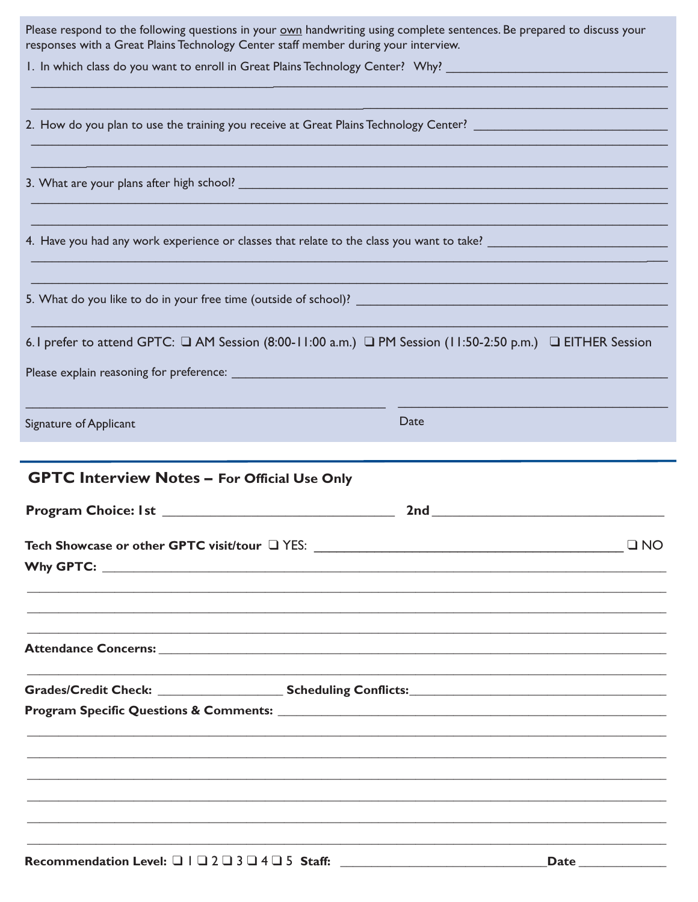| Please respond to the following questions in your <b>own</b> handwriting using complete sentences. Be prepared to discuss your |                                                                                                                      |
|--------------------------------------------------------------------------------------------------------------------------------|----------------------------------------------------------------------------------------------------------------------|
| responses with a Great Plains Technology Center staff member during your interview.                                            |                                                                                                                      |
| 1. In which class do you want to enroll in Great Plains Technology Center? Why? ______________________________                 |                                                                                                                      |
|                                                                                                                                |                                                                                                                      |
|                                                                                                                                |                                                                                                                      |
| 2. How do you plan to use the training you receive at Great Plains Technology Center? ________________________                 |                                                                                                                      |
|                                                                                                                                |                                                                                                                      |
|                                                                                                                                |                                                                                                                      |
|                                                                                                                                |                                                                                                                      |
|                                                                                                                                |                                                                                                                      |
|                                                                                                                                |                                                                                                                      |
|                                                                                                                                |                                                                                                                      |
|                                                                                                                                |                                                                                                                      |
|                                                                                                                                |                                                                                                                      |
|                                                                                                                                |                                                                                                                      |
|                                                                                                                                |                                                                                                                      |
|                                                                                                                                |                                                                                                                      |
| 6. I prefer to attend GPTC: $\Box$ AM Session (8:00-11:00 a.m.) $\Box$ PM Session (11:50-2:50 p.m.) $\Box$ EITHER Session      |                                                                                                                      |
|                                                                                                                                |                                                                                                                      |
| Please explain reasoning for preference: ___________                                                                           | <u> 1989 - Johann John Stone, mars eta bat eta bat eta bat eta bat eta bat eta bat eta bat eta bat eta bat eta b</u> |
|                                                                                                                                |                                                                                                                      |
|                                                                                                                                |                                                                                                                      |
| Signature of Applicant                                                                                                         | Date                                                                                                                 |
|                                                                                                                                |                                                                                                                      |
|                                                                                                                                |                                                                                                                      |
| <b>GPTC Interview Notes - For Official Use Only</b>                                                                            |                                                                                                                      |
|                                                                                                                                |                                                                                                                      |
|                                                                                                                                | <b>2nd Exercise 2nd</b>                                                                                              |
|                                                                                                                                |                                                                                                                      |
|                                                                                                                                |                                                                                                                      |
|                                                                                                                                | $\square$ NO                                                                                                         |
|                                                                                                                                |                                                                                                                      |
|                                                                                                                                |                                                                                                                      |
|                                                                                                                                |                                                                                                                      |
|                                                                                                                                |                                                                                                                      |
|                                                                                                                                |                                                                                                                      |
|                                                                                                                                |                                                                                                                      |
|                                                                                                                                |                                                                                                                      |
|                                                                                                                                |                                                                                                                      |
|                                                                                                                                |                                                                                                                      |
|                                                                                                                                |                                                                                                                      |
|                                                                                                                                |                                                                                                                      |
|                                                                                                                                |                                                                                                                      |
|                                                                                                                                |                                                                                                                      |
|                                                                                                                                |                                                                                                                      |
|                                                                                                                                |                                                                                                                      |
|                                                                                                                                |                                                                                                                      |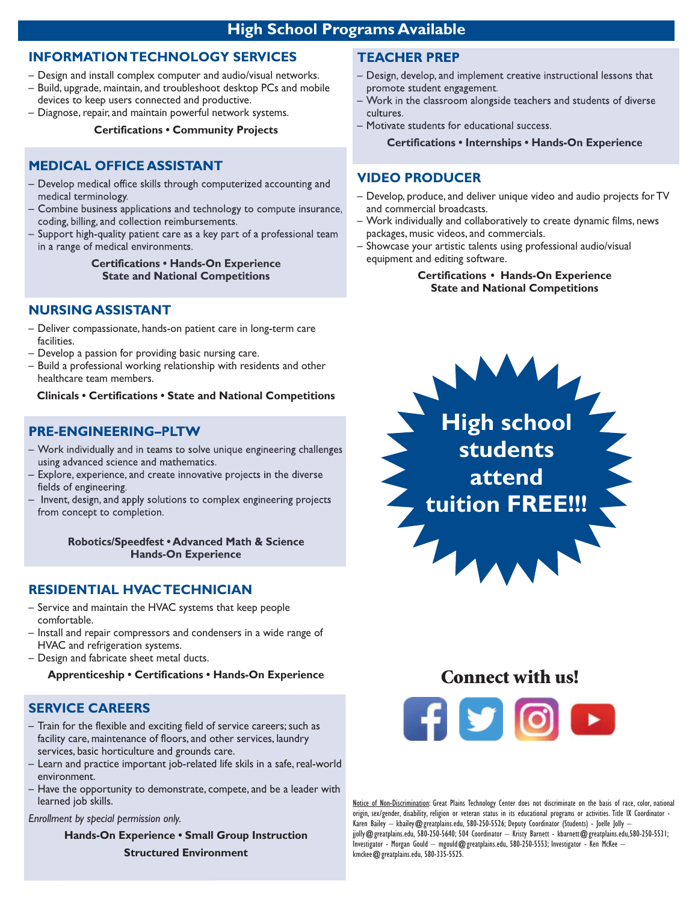# **High School Programs Available**

#### **INFORMATION TECHNOLOGY SERVICES**

- Design and install complex computer and audio/visual networks.
- Build, upgrade, maintain, and troubleshoot desktop PCs and mobile devices to keep users connected and productive.
- Diagnose, repair, and maintain powerful network systems.

#### **Certifications • Community Projects**

#### **MEDICAL OFFICE ASSISTANT**

- Develop medical office skills through computerized accounting and medical terminology.
- Combine business applications and technology to compute insurance, coding, billing, and collection reimbursements.
- Support high-quality patient care as a key part of a professional team in a range of medical environments.

#### **Certifications • Hands-On Experience State and National Competitions**

#### **NURSING ASSISTANT**

- Deliver compassionate, hands-on patient care in long-term care facilities.
- Develop a passion for providing basic nursing care.
- Build a professional working relationship with residents and other healthcare team members.

**Clinicals • Certifications • State and National Competitions**

#### **PRE-ENGINEERING–PLTW**

- Work individually and in teams to solve unique engineering challenges using advanced science and mathematics.
- Explore, experience, and create innovative projects in the diverse fields of engineering.
- Invent, design, and apply solutions to complex engineering projects from concept to completion.

**Robotics/Speedfest • Advanced Math & Science Hands-On Experience**

#### **RESIDENTIAL HVAC TECHNICIAN**

- Service and maintain the HVAC systems that keep people comfortable.
- Install and repair compressors and condensers in a wide range of HVAC and refrigeration systems.
- Design and fabricate sheet metal ducts.

**Apprenticeship • Certifications • Hands-On Experience**

#### **SERVICE CAREERS**

- Train for the flexible and exciting field of service careers; such as facility care, maintenance of floors, and other services, laundry services, basic horticulture and grounds care.
- Learn and practice important job-related life skils in a safe, real-world environment.
- Have the opportunity to demonstrate, compete, and be a leader with learned job skills.

#### *Enrollment by special permission only.*

**Hands-On Experience • Small Group Instruction Structured Environment**

#### **TEACHER PREP**

- Design, develop, and implement creative instructional lessons that promote student engagement.
- Work in the classroom alongside teachers and students of diverse cultures.
- Motivate students for educational success.

#### **Certifications • Internships • Hands-On Experience**

#### **VIDEO PRODUCER**

- Develop, produce, and deliver unique video and audio projects for TV and commercial broadcasts.
- Work individually and collaboratively to create dynamic films, news packages, music videos, and commercials.
- Showcase your artistic talents using professional audio/visual equipment and editing software.

#### **Certifications • Hands-On Experience State and National Competitions**



# **Connect with us!**



Notice of Non-Discrimination: Great Plains Technology Center does not discriminate on the basis of race, color, national origin, sex/gender, disability, religion or veteran status in its educational programs or activities. Title IX Coordinator - Karen Bailey - kbailey@greatplains.edu, 580-250-5526; Deputy Coordinator (Students) - Joelle Jolly jjolly@greatplains.edu, 580-250-5640; 504 Coordinator – Kristy Barnett - kbarnett@greatplains.edu,580-250-5531; Investigator - Morgan Gould – mgould@greatplains.edu, 580-250-5553; Investigator - Ken McKee – kmckee@greatplains.edu, 580-335-5525.